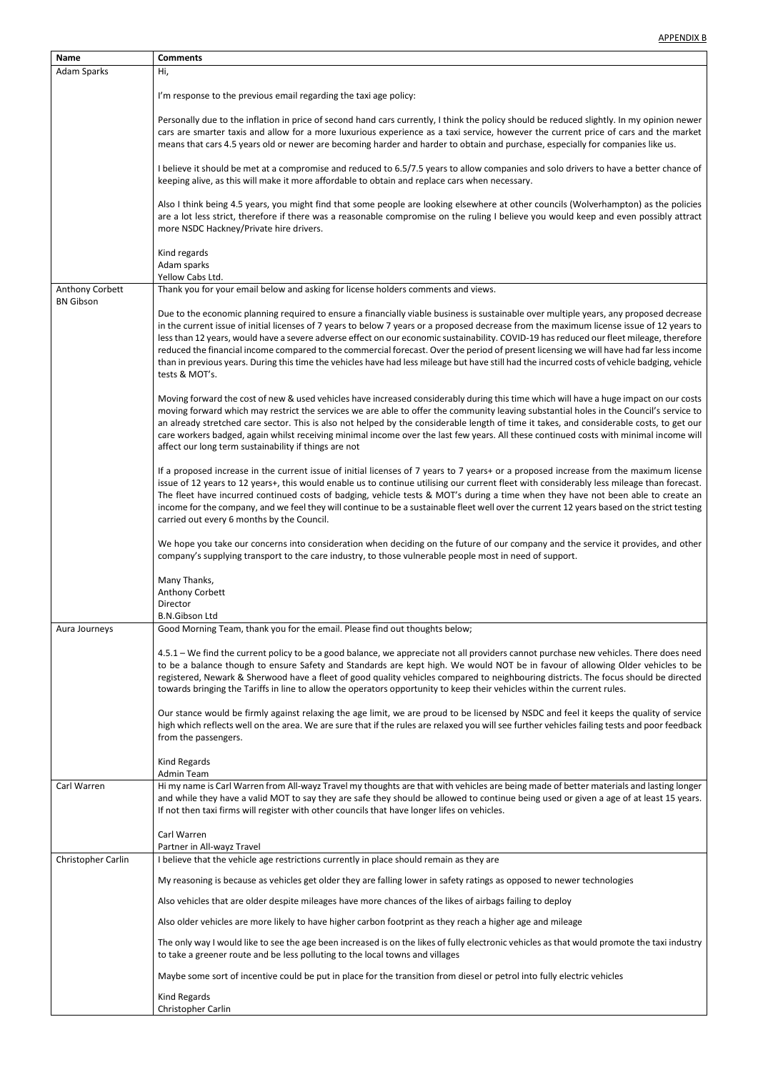| <b>Name</b>        | <b>Comments</b>                                                                                                                                                                                                                                                                                                                                                                                                                                                                                                                                                                                                                                                                                                                                |
|--------------------|------------------------------------------------------------------------------------------------------------------------------------------------------------------------------------------------------------------------------------------------------------------------------------------------------------------------------------------------------------------------------------------------------------------------------------------------------------------------------------------------------------------------------------------------------------------------------------------------------------------------------------------------------------------------------------------------------------------------------------------------|
| Adam Sparks        | Hi,                                                                                                                                                                                                                                                                                                                                                                                                                                                                                                                                                                                                                                                                                                                                            |
|                    | I'm response to the previous email regarding the taxi age policy:                                                                                                                                                                                                                                                                                                                                                                                                                                                                                                                                                                                                                                                                              |
|                    | Personally due to the inflation in price of second hand cars currently, I think the policy should be reduced slightly. In my opinion newer<br>cars are smarter taxis and allow for a more luxurious experience as a taxi service, however the current price of cars and the market<br>means that cars 4.5 years old or newer are becoming harder and harder to obtain and purchase, especially for companies like us.                                                                                                                                                                                                                                                                                                                          |
|                    | I believe it should be met at a compromise and reduced to 6.5/7.5 years to allow companies and solo drivers to have a better chance of<br>keeping alive, as this will make it more affordable to obtain and replace cars when necessary.                                                                                                                                                                                                                                                                                                                                                                                                                                                                                                       |
|                    | Also I think being 4.5 years, you might find that some people are looking elsewhere at other councils (Wolverhampton) as the policies<br>are a lot less strict, therefore if there was a reasonable compromise on the ruling I believe you would keep and even possibly attract<br>more NSDC Hackney/Private hire drivers.                                                                                                                                                                                                                                                                                                                                                                                                                     |
|                    | Kind regards<br>Adam sparks<br>Yellow Cabs Ltd.                                                                                                                                                                                                                                                                                                                                                                                                                                                                                                                                                                                                                                                                                                |
| Anthony Corbett    | Thank you for your email below and asking for license holders comments and views.                                                                                                                                                                                                                                                                                                                                                                                                                                                                                                                                                                                                                                                              |
| <b>BN Gibson</b>   | Due to the economic planning required to ensure a financially viable business is sustainable over multiple years, any proposed decrease<br>in the current issue of initial licenses of 7 years to below 7 years or a proposed decrease from the maximum license issue of 12 years to<br>less than 12 years, would have a severe adverse effect on our economic sustainability. COVID-19 has reduced our fleet mileage, therefore<br>reduced the financial income compared to the commercial forecast. Over the period of present licensing we will have had far less income<br>than in previous years. During this time the vehicles have had less mileage but have still had the incurred costs of vehicle badging, vehicle<br>tests & MOT's. |
|                    | Moving forward the cost of new & used vehicles have increased considerably during this time which will have a huge impact on our costs<br>moving forward which may restrict the services we are able to offer the community leaving substantial holes in the Council's service to<br>an already stretched care sector. This is also not helped by the considerable length of time it takes, and considerable costs, to get our<br>care workers badged, again whilst receiving minimal income over the last few years. All these continued costs with minimal income will<br>affect our long term sustainability if things are not                                                                                                              |
|                    | If a proposed increase in the current issue of initial licenses of 7 years to 7 years+ or a proposed increase from the maximum license<br>issue of 12 years to 12 years+, this would enable us to continue utilising our current fleet with considerably less mileage than forecast.<br>The fleet have incurred continued costs of badging, vehicle tests & MOT's during a time when they have not been able to create an<br>income for the company, and we feel they will continue to be a sustainable fleet well over the current 12 years based on the strict testing<br>carried out every 6 months by the Council.                                                                                                                         |
|                    | We hope you take our concerns into consideration when deciding on the future of our company and the service it provides, and other<br>company's supplying transport to the care industry, to those vulnerable people most in need of support.                                                                                                                                                                                                                                                                                                                                                                                                                                                                                                  |
|                    | Many Thanks,<br>Anthony Corbett<br>Director<br><b>B.N.Gibson Ltd</b>                                                                                                                                                                                                                                                                                                                                                                                                                                                                                                                                                                                                                                                                           |
| Aura Journeys      | Good Morning Team, thank you for the email. Please find out thoughts below;                                                                                                                                                                                                                                                                                                                                                                                                                                                                                                                                                                                                                                                                    |
|                    | 4.5.1 – We find the current policy to be a good balance, we appreciate not all providers cannot purchase new vehicles. There does need<br>to be a balance though to ensure Safety and Standards are kept high. We would NOT be in favour of allowing Older vehicles to be<br>registered, Newark & Sherwood have a fleet of good quality vehicles compared to neighbouring districts. The focus should be directed<br>towards bringing the Tariffs in line to allow the operators opportunity to keep their vehicles within the current rules.                                                                                                                                                                                                  |
|                    | Our stance would be firmly against relaxing the age limit, we are proud to be licensed by NSDC and feel it keeps the quality of service<br>high which reflects well on the area. We are sure that if the rules are relaxed you will see further vehicles failing tests and poor feedback<br>from the passengers.                                                                                                                                                                                                                                                                                                                                                                                                                               |
|                    | Kind Regards<br><b>Admin Team</b>                                                                                                                                                                                                                                                                                                                                                                                                                                                                                                                                                                                                                                                                                                              |
| Carl Warren        | Hi my name is Carl Warren from All-wayz Travel my thoughts are that with vehicles are being made of better materials and lasting longer<br>and while they have a valid MOT to say they are safe they should be allowed to continue being used or given a age of at least 15 years.<br>If not then taxi firms will register with other councils that have longer lifes on vehicles.                                                                                                                                                                                                                                                                                                                                                             |
|                    | Carl Warren                                                                                                                                                                                                                                                                                                                                                                                                                                                                                                                                                                                                                                                                                                                                    |
| Christopher Carlin | Partner in All-wayz Travel<br>I believe that the vehicle age restrictions currently in place should remain as they are                                                                                                                                                                                                                                                                                                                                                                                                                                                                                                                                                                                                                         |
|                    | My reasoning is because as vehicles get older they are falling lower in safety ratings as opposed to newer technologies                                                                                                                                                                                                                                                                                                                                                                                                                                                                                                                                                                                                                        |
|                    | Also vehicles that are older despite mileages have more chances of the likes of airbags failing to deploy                                                                                                                                                                                                                                                                                                                                                                                                                                                                                                                                                                                                                                      |
|                    | Also older vehicles are more likely to have higher carbon footprint as they reach a higher age and mileage                                                                                                                                                                                                                                                                                                                                                                                                                                                                                                                                                                                                                                     |
|                    | The only way I would like to see the age been increased is on the likes of fully electronic vehicles as that would promote the taxi industry<br>to take a greener route and be less polluting to the local towns and villages                                                                                                                                                                                                                                                                                                                                                                                                                                                                                                                  |
|                    | Maybe some sort of incentive could be put in place for the transition from diesel or petrol into fully electric vehicles                                                                                                                                                                                                                                                                                                                                                                                                                                                                                                                                                                                                                       |
|                    | <b>Kind Regards</b><br>Christopher Carlin                                                                                                                                                                                                                                                                                                                                                                                                                                                                                                                                                                                                                                                                                                      |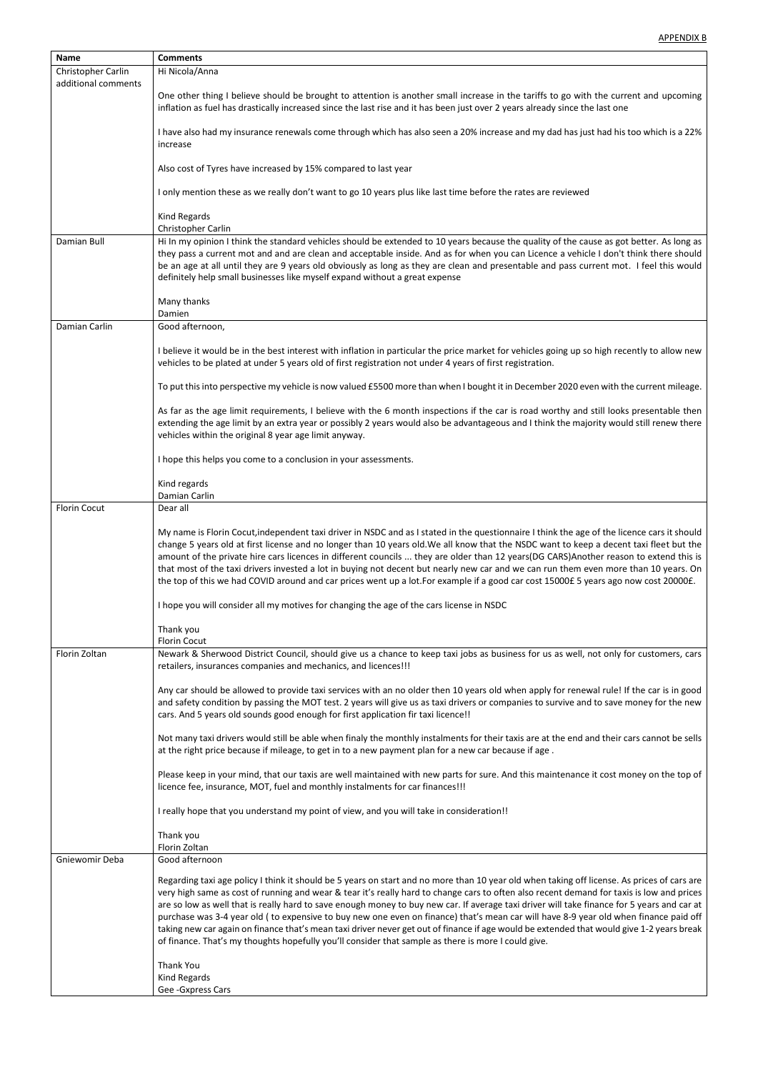| <b>Name</b>         | <b>Comments</b>                                                                                                                                                                                                                                                       |
|---------------------|-----------------------------------------------------------------------------------------------------------------------------------------------------------------------------------------------------------------------------------------------------------------------|
| Christopher Carlin  | Hi Nicola/Anna                                                                                                                                                                                                                                                        |
| additional comments |                                                                                                                                                                                                                                                                       |
|                     | One other thing I believe should be brought to attention is another small increase in the tariffs to go with the current and upcoming<br>inflation as fuel has drastically increased since the last rise and it has been just over 2 years already since the last one |
|                     | I have also had my insurance renewals come through which has also seen a 20% increase and my dad has just had his too which is a 22%<br>increase                                                                                                                      |
|                     | Also cost of Tyres have increased by 15% compared to last year                                                                                                                                                                                                        |
|                     | I only mention these as we really don't want to go 10 years plus like last time before the rates are reviewed                                                                                                                                                         |
|                     | Kind Regards<br>Christopher Carlin                                                                                                                                                                                                                                    |
| Damian Bull         | Hi In my opinion I think the standard vehicles should be extended to 10 years because the quality of the cause as got better. As long as                                                                                                                              |
|                     | they pass a current mot and and are clean and acceptable inside. And as for when you can Licence a vehicle I don't think there should                                                                                                                                 |
|                     | be an age at all until they are 9 years old obviously as long as they are clean and presentable and pass current mot. I feel this would                                                                                                                               |
|                     | definitely help small businesses like myself expand without a great expense                                                                                                                                                                                           |
|                     |                                                                                                                                                                                                                                                                       |
|                     | Many thanks                                                                                                                                                                                                                                                           |
|                     | Damien                                                                                                                                                                                                                                                                |
| Damian Carlin       | Good afternoon,                                                                                                                                                                                                                                                       |
|                     |                                                                                                                                                                                                                                                                       |
|                     | I believe it would be in the best interest with inflation in particular the price market for vehicles going up so high recently to allow new<br>vehicles to be plated at under 5 years old of first registration not under 4 years of first registration.             |
|                     | To put this into perspective my vehicle is now valued £5500 more than when I bought it in December 2020 even with the current mileage.                                                                                                                                |
|                     | As far as the age limit requirements, I believe with the 6 month inspections if the car is road worthy and still looks presentable then                                                                                                                               |
|                     | extending the age limit by an extra year or possibly 2 years would also be advantageous and I think the majority would still renew there                                                                                                                              |
|                     | vehicles within the original 8 year age limit anyway.                                                                                                                                                                                                                 |
|                     |                                                                                                                                                                                                                                                                       |
|                     | I hope this helps you come to a conclusion in your assessments.                                                                                                                                                                                                       |
|                     | Kind regards                                                                                                                                                                                                                                                          |
|                     | Damian Carlin                                                                                                                                                                                                                                                         |
| <b>Florin Cocut</b> | Dear all                                                                                                                                                                                                                                                              |
|                     |                                                                                                                                                                                                                                                                       |
|                     | My name is Florin Cocut, independent taxi driver in NSDC and as I stated in the questionnaire I think the age of the licence cars it should                                                                                                                           |
|                     | change 5 years old at first license and no longer than 10 years old. We all know that the NSDC want to keep a decent taxi fleet but the                                                                                                                               |
|                     | amount of the private hire cars licences in different councils  they are older than 12 years(DG CARS)Another reason to extend this is                                                                                                                                 |
|                     | that most of the taxi drivers invested a lot in buying not decent but nearly new car and we can run them even more than 10 years. On                                                                                                                                  |
|                     | the top of this we had COVID around and car prices went up a lot.For example if a good car cost 15000£ 5 years ago now cost 20000£.                                                                                                                                   |
|                     | I hope you will consider all my motives for changing the age of the cars license in NSDC                                                                                                                                                                              |
|                     | Thank you                                                                                                                                                                                                                                                             |
|                     | <b>Florin Cocut</b>                                                                                                                                                                                                                                                   |
| Florin Zoltan       | Newark & Sherwood District Council, should give us a chance to keep taxi jobs as business for us as well, not only for customers, cars<br>retailers, insurances companies and mechanics, and licences!!!                                                              |
|                     | Any car should be allowed to provide taxi services with an no older then 10 years old when apply for renewal rule! If the car is in good                                                                                                                              |
|                     | and safety condition by passing the MOT test. 2 years will give us as taxi drivers or companies to survive and to save money for the new                                                                                                                              |
|                     | cars. And 5 years old sounds good enough for first application fir taxi licence!!                                                                                                                                                                                     |
|                     |                                                                                                                                                                                                                                                                       |
|                     | Not many taxi drivers would still be able when finaly the monthly instalments for their taxis are at the end and their cars cannot be sells                                                                                                                           |
|                     | at the right price because if mileage, to get in to a new payment plan for a new car because if age.                                                                                                                                                                  |
|                     |                                                                                                                                                                                                                                                                       |
|                     | Please keep in your mind, that our taxis are well maintained with new parts for sure. And this maintenance it cost money on the top of                                                                                                                                |
|                     | licence fee, insurance, MOT, fuel and monthly instalments for car finances!!!                                                                                                                                                                                         |
|                     |                                                                                                                                                                                                                                                                       |
|                     | I really hope that you understand my point of view, and you will take in consideration!!                                                                                                                                                                              |
|                     | Thank you                                                                                                                                                                                                                                                             |
| Gniewomir Deba      | Florin Zoltan                                                                                                                                                                                                                                                         |
|                     | Good afternoon                                                                                                                                                                                                                                                        |
|                     | Regarding taxi age policy I think it should be 5 years on start and no more than 10 year old when taking off license. As prices of cars are                                                                                                                           |
|                     | very high same as cost of running and wear & tear it's really hard to change cars to often also recent demand for taxis is low and prices                                                                                                                             |
|                     | are so low as well that is really hard to save enough money to buy new car. If average taxi driver will take finance for 5 years and car at                                                                                                                           |
|                     | purchase was 3-4 year old (to expensive to buy new one even on finance) that's mean car will have 8-9 year old when finance paid off                                                                                                                                  |
|                     | taking new car again on finance that's mean taxi driver never get out of finance if age would be extended that would give 1-2 years break                                                                                                                             |
|                     | of finance. That's my thoughts hopefully you'll consider that sample as there is more I could give.                                                                                                                                                                   |
|                     |                                                                                                                                                                                                                                                                       |
|                     | Thank You                                                                                                                                                                                                                                                             |
|                     | Kind Regards                                                                                                                                                                                                                                                          |
|                     | Gee-Gxpress Cars                                                                                                                                                                                                                                                      |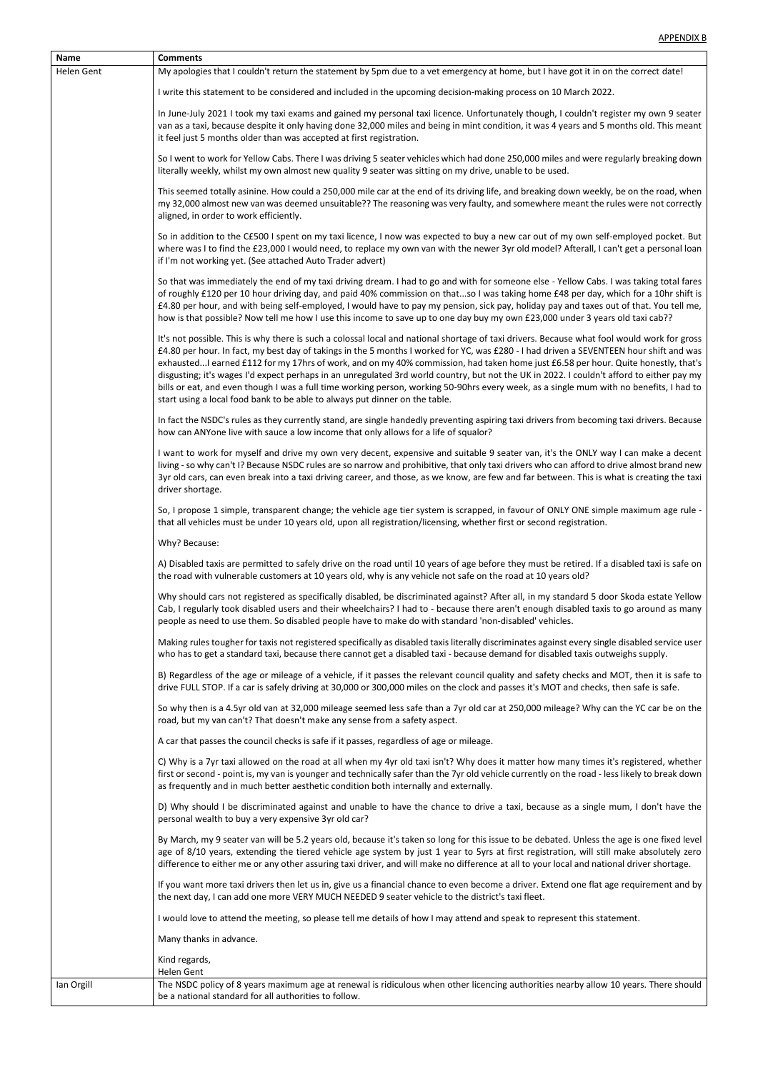| <b>Name</b> | <b>Comments</b>                                                                                                                                                                                                                                                                                                                                                                                                                                                                                                                                                                                                                                                                                                                                                                                    |
|-------------|----------------------------------------------------------------------------------------------------------------------------------------------------------------------------------------------------------------------------------------------------------------------------------------------------------------------------------------------------------------------------------------------------------------------------------------------------------------------------------------------------------------------------------------------------------------------------------------------------------------------------------------------------------------------------------------------------------------------------------------------------------------------------------------------------|
| Helen Gent  | My apologies that I couldn't return the statement by 5pm due to a vet emergency at home, but I have got it in on the correct date!                                                                                                                                                                                                                                                                                                                                                                                                                                                                                                                                                                                                                                                                 |
|             | I write this statement to be considered and included in the upcoming decision-making process on 10 March 2022.                                                                                                                                                                                                                                                                                                                                                                                                                                                                                                                                                                                                                                                                                     |
|             | In June-July 2021 I took my taxi exams and gained my personal taxi licence. Unfortunately though, I couldn't register my own 9 seater<br>van as a taxi, because despite it only having done 32,000 miles and being in mint condition, it was 4 years and 5 months old. This meant<br>it feel just 5 months older than was accepted at first registration.                                                                                                                                                                                                                                                                                                                                                                                                                                          |
|             | So I went to work for Yellow Cabs. There I was driving 5 seater vehicles which had done 250,000 miles and were regularly breaking down<br>literally weekly, whilst my own almost new quality 9 seater was sitting on my drive, unable to be used.                                                                                                                                                                                                                                                                                                                                                                                                                                                                                                                                                  |
|             | This seemed totally asinine. How could a 250,000 mile car at the end of its driving life, and breaking down weekly, be on the road, when<br>my 32,000 almost new van was deemed unsuitable?? The reasoning was very faulty, and somewhere meant the rules were not correctly<br>aligned, in order to work efficiently.                                                                                                                                                                                                                                                                                                                                                                                                                                                                             |
|             | So in addition to the C£500 I spent on my taxi licence, I now was expected to buy a new car out of my own self-employed pocket. But<br>where was I to find the £23,000 I would need, to replace my own van with the newer 3yr old model? Afterall, I can't get a personal loan<br>if I'm not working yet. (See attached Auto Trader advert)                                                                                                                                                                                                                                                                                                                                                                                                                                                        |
|             | So that was immediately the end of my taxi driving dream. I had to go and with for someone else - Yellow Cabs. I was taking total fares<br>of roughly £120 per 10 hour driving day, and paid 40% commission on thatso I was taking home £48 per day, which for a 10hr shift is<br>£4.80 per hour, and with being self-employed, I would have to pay my pension, sick pay, holiday pay and taxes out of that. You tell me,<br>how is that possible? Now tell me how I use this income to save up to one day buy my own £23,000 under 3 years old taxi cab??                                                                                                                                                                                                                                         |
|             | It's not possible. This is why there is such a colossal local and national shortage of taxi drivers. Because what fool would work for gross<br>£4.80 per hour. In fact, my best day of takings in the 5 months I worked for YC, was £280 - I had driven a SEVENTEEN hour shift and was<br>exhaustedI earned £112 for my 17hrs of work, and on my 40% commission, had taken home just £6.58 per hour. Quite honestly, that's<br>disgusting; it's wages I'd expect perhaps in an unregulated 3rd world country, but not the UK in 2022. I couldn't afford to either pay my<br>bills or eat, and even though I was a full time working person, working 50-90hrs every week, as a single mum with no benefits, I had to<br>start using a local food bank to be able to always put dinner on the table. |
|             | In fact the NSDC's rules as they currently stand, are single handedly preventing aspiring taxi drivers from becoming taxi drivers. Because<br>how can ANYone live with sauce a low income that only allows for a life of squalor?                                                                                                                                                                                                                                                                                                                                                                                                                                                                                                                                                                  |
|             | I want to work for myself and drive my own very decent, expensive and suitable 9 seater van, it's the ONLY way I can make a decent<br>living - so why can't I? Because NSDC rules are so narrow and prohibitive, that only taxi drivers who can afford to drive almost brand new<br>3yr old cars, can even break into a taxi driving career, and those, as we know, are few and far between. This is what is creating the taxi<br>driver shortage.                                                                                                                                                                                                                                                                                                                                                 |
|             | So, I propose 1 simple, transparent change; the vehicle age tier system is scrapped, in favour of ONLY ONE simple maximum age rule -<br>that all vehicles must be under 10 years old, upon all registration/licensing, whether first or second registration.                                                                                                                                                                                                                                                                                                                                                                                                                                                                                                                                       |
|             | Why? Because:                                                                                                                                                                                                                                                                                                                                                                                                                                                                                                                                                                                                                                                                                                                                                                                      |
|             | A) Disabled taxis are permitted to safely drive on the road until 10 years of age before they must be retired. If a disabled taxi is safe on<br>the road with vulnerable customers at 10 years old, why is any vehicle not safe on the road at 10 years old?                                                                                                                                                                                                                                                                                                                                                                                                                                                                                                                                       |
|             | Why should cars not registered as specifically disabled, be discriminated against? After all, in my standard 5 door Skoda estate Yellow<br>Cab, I regularly took disabled users and their wheelchairs? I had to - because there aren't enough disabled taxis to go around as many<br>people as need to use them. So disabled people have to make do with standard 'non-disabled' vehicles.                                                                                                                                                                                                                                                                                                                                                                                                         |
|             | Making rules tougher for taxis not registered specifically as disabled taxis literally discriminates against every single disabled service user<br>who has to get a standard taxi, because there cannot get a disabled taxi - because demand for disabled taxis outweighs supply.                                                                                                                                                                                                                                                                                                                                                                                                                                                                                                                  |
|             | B) Regardless of the age or mileage of a vehicle, if it passes the relevant council quality and safety checks and MOT, then it is safe to<br>drive FULL STOP. If a car is safely driving at 30,000 or 300,000 miles on the clock and passes it's MOT and checks, then safe is safe.                                                                                                                                                                                                                                                                                                                                                                                                                                                                                                                |
|             | So why then is a 4.5yr old van at 32,000 mileage seemed less safe than a 7yr old car at 250,000 mileage? Why can the YC car be on the<br>road, but my van can't? That doesn't make any sense from a safety aspect.                                                                                                                                                                                                                                                                                                                                                                                                                                                                                                                                                                                 |
|             | A car that passes the council checks is safe if it passes, regardless of age or mileage.                                                                                                                                                                                                                                                                                                                                                                                                                                                                                                                                                                                                                                                                                                           |
|             | C) Why is a 7yr taxi allowed on the road at all when my 4yr old taxi isn't? Why does it matter how many times it's registered, whether<br>first or second - point is, my van is younger and technically safer than the 7yr old vehicle currently on the road - less likely to break down                                                                                                                                                                                                                                                                                                                                                                                                                                                                                                           |

as frequently and in much better aesthetic condition both internally and externally.

D) Why should I be discriminated against and unable to have the chance to drive a taxi, because as a single mum, I don't have the

|            | personal wealth to buy a very expensive 3yr old car?                                                                                                                                                                                                                                                                                                                                                                                 |
|------------|--------------------------------------------------------------------------------------------------------------------------------------------------------------------------------------------------------------------------------------------------------------------------------------------------------------------------------------------------------------------------------------------------------------------------------------|
|            | By March, my 9 seater van will be 5.2 years old, because it's taken so long for this issue to be debated. Unless the age is one fixed level<br>age of 8/10 years, extending the tiered vehicle age system by just 1 year to 5yrs at first registration, will still make absolutely zero<br>difference to either me or any other assuring taxi driver, and will make no difference at all to your local and national driver shortage. |
|            | If you want more taxi drivers then let us in, give us a financial chance to even become a driver. Extend one flat age requirement and by<br>the next day, I can add one more VERY MUCH NEEDED 9 seater vehicle to the district's taxi fleet.                                                                                                                                                                                         |
|            | I would love to attend the meeting, so please tell me details of how I may attend and speak to represent this statement.                                                                                                                                                                                                                                                                                                             |
|            | Many thanks in advance.                                                                                                                                                                                                                                                                                                                                                                                                              |
|            | Kind regards,<br>Helen Gent                                                                                                                                                                                                                                                                                                                                                                                                          |
| lan Orgill | The NSDC policy of 8 years maximum age at renewal is ridiculous when other licencing authorities nearby allow 10 years. There should<br>be a national standard for all authorities to follow.                                                                                                                                                                                                                                        |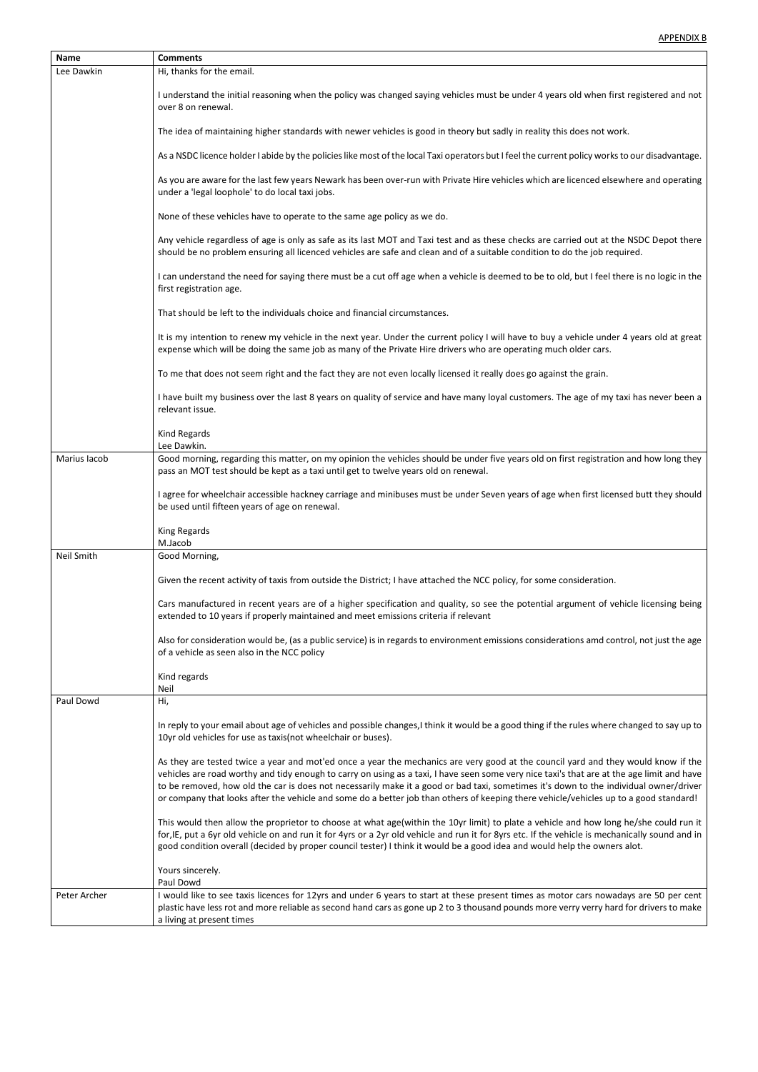- I

| <b>Name</b>       | <b>Comments</b>                                                                                                                                                                                                                                                                                                                                                                                                                                                                                                                                                   |
|-------------------|-------------------------------------------------------------------------------------------------------------------------------------------------------------------------------------------------------------------------------------------------------------------------------------------------------------------------------------------------------------------------------------------------------------------------------------------------------------------------------------------------------------------------------------------------------------------|
| Lee Dawkin        | Hi, thanks for the email.                                                                                                                                                                                                                                                                                                                                                                                                                                                                                                                                         |
|                   | I understand the initial reasoning when the policy was changed saying vehicles must be under 4 years old when first registered and not<br>over 8 on renewal.                                                                                                                                                                                                                                                                                                                                                                                                      |
|                   | The idea of maintaining higher standards with newer vehicles is good in theory but sadly in reality this does not work.                                                                                                                                                                                                                                                                                                                                                                                                                                           |
|                   | As a NSDC licence holder I abide by the policies like most of the local Taxi operators but I feel the current policy works to our disadvantage.                                                                                                                                                                                                                                                                                                                                                                                                                   |
|                   | As you are aware for the last few years Newark has been over-run with Private Hire vehicles which are licenced elsewhere and operating<br>under a 'legal loophole' to do local taxi jobs.                                                                                                                                                                                                                                                                                                                                                                         |
|                   | None of these vehicles have to operate to the same age policy as we do.                                                                                                                                                                                                                                                                                                                                                                                                                                                                                           |
|                   | Any vehicle regardless of age is only as safe as its last MOT and Taxi test and as these checks are carried out at the NSDC Depot there<br>should be no problem ensuring all licenced vehicles are safe and clean and of a suitable condition to do the job required.                                                                                                                                                                                                                                                                                             |
|                   | I can understand the need for saying there must be a cut off age when a vehicle is deemed to be to old, but I feel there is no logic in the<br>first registration age.                                                                                                                                                                                                                                                                                                                                                                                            |
|                   | That should be left to the individuals choice and financial circumstances.                                                                                                                                                                                                                                                                                                                                                                                                                                                                                        |
|                   | It is my intention to renew my vehicle in the next year. Under the current policy I will have to buy a vehicle under 4 years old at great<br>expense which will be doing the same job as many of the Private Hire drivers who are operating much older cars.                                                                                                                                                                                                                                                                                                      |
|                   | To me that does not seem right and the fact they are not even locally licensed it really does go against the grain.                                                                                                                                                                                                                                                                                                                                                                                                                                               |
|                   | I have built my business over the last 8 years on quality of service and have many loyal customers. The age of my taxi has never been a<br>relevant issue.                                                                                                                                                                                                                                                                                                                                                                                                        |
|                   | Kind Regards<br>Lee Dawkin.                                                                                                                                                                                                                                                                                                                                                                                                                                                                                                                                       |
| Marius Iacob      | Good morning, regarding this matter, on my opinion the vehicles should be under five years old on first registration and how long they<br>pass an MOT test should be kept as a taxi until get to twelve years old on renewal.                                                                                                                                                                                                                                                                                                                                     |
|                   | I agree for wheelchair accessible hackney carriage and minibuses must be under Seven years of age when first licensed butt they should<br>be used until fifteen years of age on renewal.                                                                                                                                                                                                                                                                                                                                                                          |
|                   | King Regards<br>M.Jacob                                                                                                                                                                                                                                                                                                                                                                                                                                                                                                                                           |
| <b>Neil Smith</b> | Good Morning,                                                                                                                                                                                                                                                                                                                                                                                                                                                                                                                                                     |
|                   | Given the recent activity of taxis from outside the District; I have attached the NCC policy, for some consideration.                                                                                                                                                                                                                                                                                                                                                                                                                                             |
|                   | Cars manufactured in recent years are of a higher specification and quality, so see the potential argument of vehicle licensing being<br>extended to 10 years if properly maintained and meet emissions criteria if relevant                                                                                                                                                                                                                                                                                                                                      |
|                   | Also for consideration would be, (as a public service) is in regards to environment emissions considerations amd control, not just the age<br>of a vehicle as seen also in the NCC policy                                                                                                                                                                                                                                                                                                                                                                         |
|                   | Kind regards<br>Neil                                                                                                                                                                                                                                                                                                                                                                                                                                                                                                                                              |
| Paul Dowd         | Hi,                                                                                                                                                                                                                                                                                                                                                                                                                                                                                                                                                               |
|                   | In reply to your email about age of vehicles and possible changes, I think it would be a good thing if the rules where changed to say up to<br>10yr old vehicles for use as taxis (not wheelchair or buses).                                                                                                                                                                                                                                                                                                                                                      |
|                   | As they are tested twice a year and mot'ed once a year the mechanics are very good at the council yard and they would know if the<br>vehicles are road worthy and tidy enough to carry on using as a taxi, I have seen some very nice taxi's that are at the age limit and have<br>to be removed, how old the car is does not necessarily make it a good or bad taxi, sometimes it's down to the individual owner/driver<br>or company that looks after the vehicle and some do a better job than others of keeping there vehicle/vehicles up to a good standard! |

|              | This would then allow the proprietor to choose at what age(within the 10yr limit) to plate a vehicle and how long he/she could run it<br>for, IE, put a 6yr old vehicle on and run it for 4yrs or a 2yr old vehicle and run it for 8yrs etc. If the vehicle is mechanically sound and in<br>good condition overall (decided by proper council tester) I think it would be a good idea and would help the owners alot. |
|--------------|-----------------------------------------------------------------------------------------------------------------------------------------------------------------------------------------------------------------------------------------------------------------------------------------------------------------------------------------------------------------------------------------------------------------------|
|              | Yours sincerely.                                                                                                                                                                                                                                                                                                                                                                                                      |
|              | Paul Dowd                                                                                                                                                                                                                                                                                                                                                                                                             |
| Peter Archer | I would like to see taxis licences for 12yrs and under 6 years to start at these present times as motor cars nowadays are 50 per cent $\mid$                                                                                                                                                                                                                                                                          |
|              | plastic have less rot and more reliable as second hand cars as gone up 2 to 3 thousand pounds more verry verry hard for drivers to make<br>a living at present times                                                                                                                                                                                                                                                  |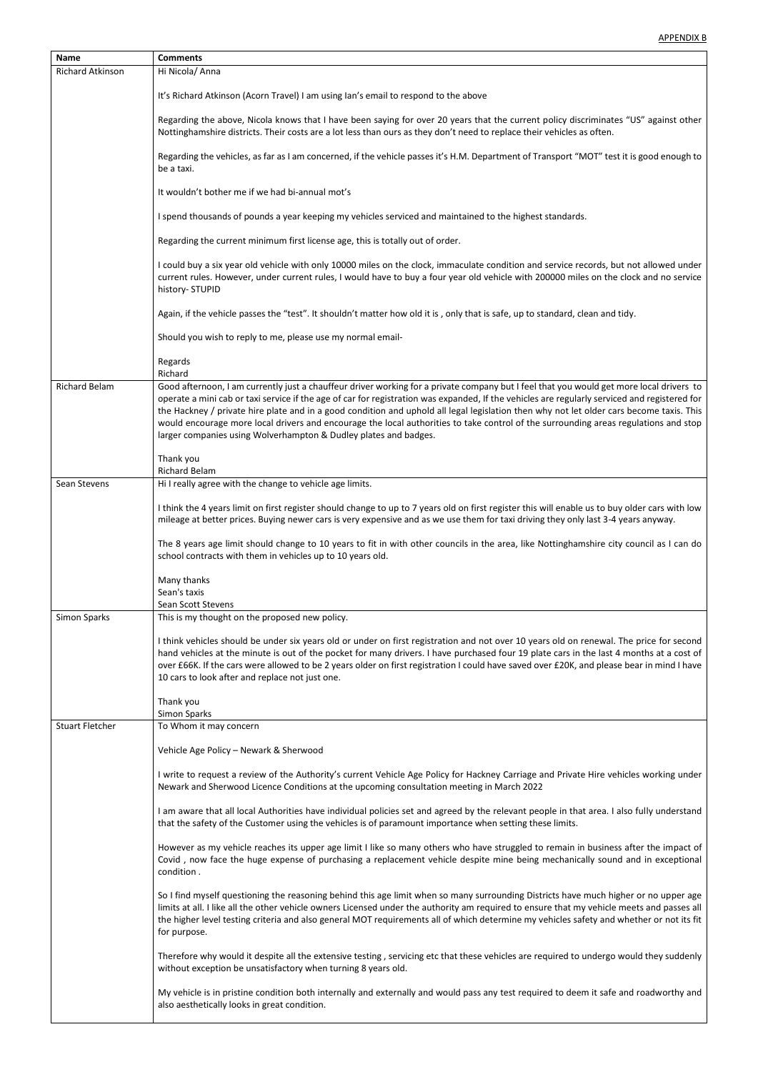| <b>Name</b>             | <b>Comments</b>                                                                                                                                                                                                                                                                                                                                                                                                                                                                                                                                                                                                                                   |
|-------------------------|---------------------------------------------------------------------------------------------------------------------------------------------------------------------------------------------------------------------------------------------------------------------------------------------------------------------------------------------------------------------------------------------------------------------------------------------------------------------------------------------------------------------------------------------------------------------------------------------------------------------------------------------------|
| <b>Richard Atkinson</b> | Hi Nicola/ Anna                                                                                                                                                                                                                                                                                                                                                                                                                                                                                                                                                                                                                                   |
|                         | It's Richard Atkinson (Acorn Travel) I am using Ian's email to respond to the above                                                                                                                                                                                                                                                                                                                                                                                                                                                                                                                                                               |
|                         | Regarding the above, Nicola knows that I have been saying for over 20 years that the current policy discriminates "US" against other<br>Nottinghamshire districts. Their costs are a lot less than ours as they don't need to replace their vehicles as often.                                                                                                                                                                                                                                                                                                                                                                                    |
|                         | Regarding the vehicles, as far as I am concerned, if the vehicle passes it's H.M. Department of Transport "MOT" test it is good enough to<br>be a taxi.                                                                                                                                                                                                                                                                                                                                                                                                                                                                                           |
|                         | It wouldn't bother me if we had bi-annual mot's                                                                                                                                                                                                                                                                                                                                                                                                                                                                                                                                                                                                   |
|                         | I spend thousands of pounds a year keeping my vehicles serviced and maintained to the highest standards.                                                                                                                                                                                                                                                                                                                                                                                                                                                                                                                                          |
|                         | Regarding the current minimum first license age, this is totally out of order.                                                                                                                                                                                                                                                                                                                                                                                                                                                                                                                                                                    |
|                         | I could buy a six year old vehicle with only 10000 miles on the clock, immaculate condition and service records, but not allowed under<br>current rules. However, under current rules, I would have to buy a four year old vehicle with 200000 miles on the clock and no service<br>history- STUPID                                                                                                                                                                                                                                                                                                                                               |
|                         | Again, if the vehicle passes the "test". It shouldn't matter how old it is, only that is safe, up to standard, clean and tidy.                                                                                                                                                                                                                                                                                                                                                                                                                                                                                                                    |
|                         | Should you wish to reply to me, please use my normal email-                                                                                                                                                                                                                                                                                                                                                                                                                                                                                                                                                                                       |
|                         | Regards<br>Richard                                                                                                                                                                                                                                                                                                                                                                                                                                                                                                                                                                                                                                |
| <b>Richard Belam</b>    | Good afternoon, I am currently just a chauffeur driver working for a private company but I feel that you would get more local drivers to<br>operate a mini cab or taxi service if the age of car for registration was expanded, If the vehicles are regularly serviced and registered for<br>the Hackney / private hire plate and in a good condition and uphold all legal legislation then why not let older cars become taxis. This<br>would encourage more local drivers and encourage the local authorities to take control of the surrounding areas regulations and stop<br>larger companies using Wolverhampton & Dudley plates and badges. |
|                         | Thank you                                                                                                                                                                                                                                                                                                                                                                                                                                                                                                                                                                                                                                         |
| Sean Stevens            | <b>Richard Belam</b><br>Hi I really agree with the change to vehicle age limits.                                                                                                                                                                                                                                                                                                                                                                                                                                                                                                                                                                  |
|                         |                                                                                                                                                                                                                                                                                                                                                                                                                                                                                                                                                                                                                                                   |
|                         | I think the 4 years limit on first register should change to up to 7 years old on first register this will enable us to buy older cars with low<br>mileage at better prices. Buying newer cars is very expensive and as we use them for taxi driving they only last 3-4 years anyway.                                                                                                                                                                                                                                                                                                                                                             |
|                         | The 8 years age limit should change to 10 years to fit in with other councils in the area, like Nottinghamshire city council as I can do<br>school contracts with them in vehicles up to 10 years old.                                                                                                                                                                                                                                                                                                                                                                                                                                            |
|                         | Many thanks<br>Sean's taxis<br>Sean Scott Stevens                                                                                                                                                                                                                                                                                                                                                                                                                                                                                                                                                                                                 |
| Simon Sparks            | This is my thought on the proposed new policy.                                                                                                                                                                                                                                                                                                                                                                                                                                                                                                                                                                                                    |
|                         | I think vehicles should be under six years old or under on first registration and not over 10 years old on renewal. The price for second<br>hand vehicles at the minute is out of the pocket for many drivers. I have purchased four 19 plate cars in the last 4 months at a cost of<br>over £66K. If the cars were allowed to be 2 years older on first registration I could have saved over £20K, and please bear in mind I have<br>10 cars to look after and replace not just one.                                                                                                                                                             |
|                         | Thank you<br><b>Simon Sparks</b>                                                                                                                                                                                                                                                                                                                                                                                                                                                                                                                                                                                                                  |
| <b>Stuart Fletcher</b>  | To Whom it may concern                                                                                                                                                                                                                                                                                                                                                                                                                                                                                                                                                                                                                            |
|                         | Vehicle Age Policy - Newark & Sherwood                                                                                                                                                                                                                                                                                                                                                                                                                                                                                                                                                                                                            |
|                         | I write to request a review of the Authority's current Vehicle Age Policy for Hackney Carriage and Private Hire vehicles working under<br>Newark and Sherwood Licence Conditions at the upcoming consultation meeting in March 2022                                                                                                                                                                                                                                                                                                                                                                                                               |

I am aware that all local Authorities have individual policies set and agreed by the relevant people in that area. I also fully understand that the safety of the Customer using the vehicles is of paramount importance when setting these limits.

However as my vehicle reaches its upper age limit I like so many others who have struggled to remain in business after the impact of Covid , now face the huge expense of purchasing a replacement vehicle despite mine being mechanically sound and in exceptional condition .

So I find myself questioning the reasoning behind this age limit when so many surrounding Districts have much higher or no upper age limits at all. I like all the other vehicle owners Licensed under the authority am required to ensure that my vehicle meets and passes all the higher level testing criteria and also general MOT requirements all of which determine my vehicles safety and whether or not its fit for purpose.

Therefore why would it despite all the extensive testing , servicing etc that these vehicles are required to undergo would they suddenly without exception be unsatisfactory when turning 8 years old.

My vehicle is in pristine condition both internally and externally and would pass any test required to deem it safe and roadworthy and also aesthetically looks in great condition.